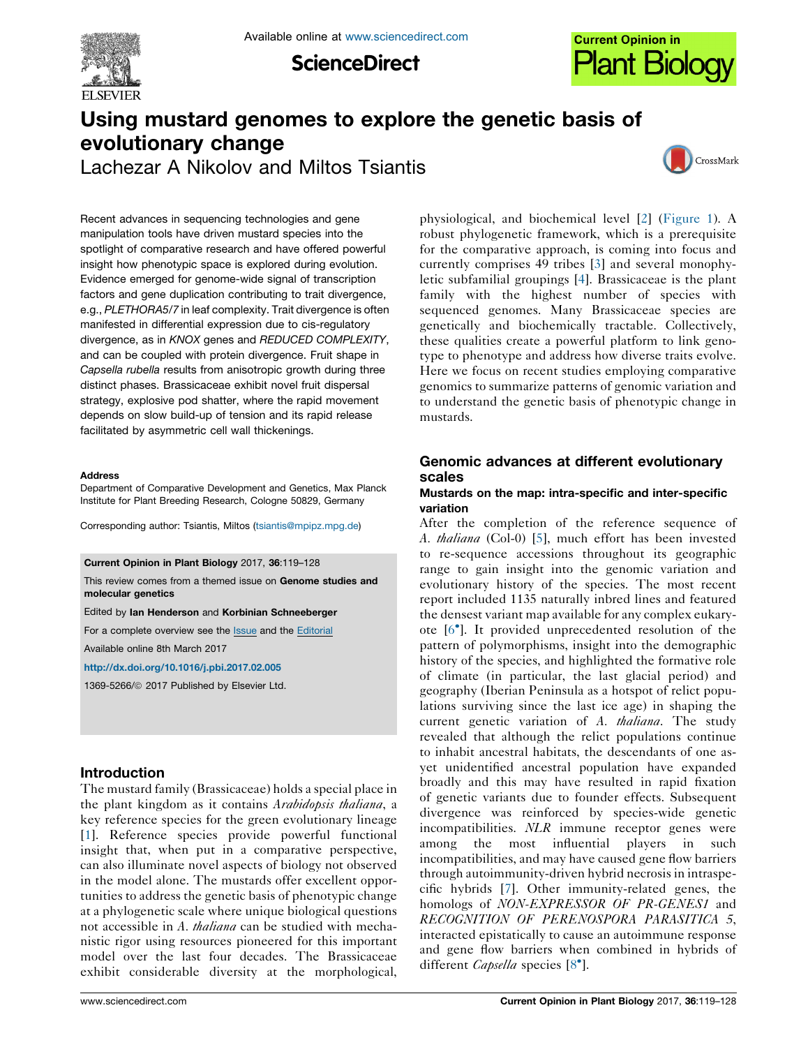

**ScienceDirect** 



# Using mustard genomes to explore the genetic basis of evolutionary change

Lachezar A Nikolov and Miltos Tsiantis



Recent advances in sequencing technologies and gene manipulation tools have driven mustard species into the spotlight of comparative research and have offered powerful insight how phenotypic space is explored during evolution. Evidence emerged for genome-wide signal of transcription factors and gene duplication contributing to trait divergence, e.g., PLETHORA5/7 in leaf complexity. Trait divergence is often manifested in differential expression due to cis-regulatory divergence, as in KNOX genes and REDUCED COMPLEXITY, and can be coupled with protein divergence. Fruit shape in Capsella rubella results from anisotropic growth during three distinct phases. Brassicaceae exhibit novel fruit dispersal strategy, explosive pod shatter, where the rapid movement depends on slow build-up of tension and its rapid release facilitated by asymmetric cell wall thickenings.

#### **Address**

Department of Comparative Development and Genetics, Max Planck Institute for Plant Breeding Research, Cologne 50829, Germany

Corresponding author: Tsiantis, Miltos [\(tsiantis@mpipz.mpg.de\)](mailto:tsiantis@mpipz.mpg.de)

#### Current Opinion in Plant Biology 2017, 36:119–128

This review comes from a themed issue on Genome studies and molecular genetics

Edited by Ian Henderson and Korbinian Schneeberger

For a complete overview see the [Issue](http://www.sciencedirect.com/science/journal/13695266/36) and the [Editorial](http://dx.doi.org/10.1016/j.pbi.2017.03.017)

Available online 8th March 2017

<http://dx.doi.org/10.1016/j.pbi.2017.02.005>

1369-5266/@ 2017 Published by Elsevier Ltd.

## Introduction

The mustard family (Brassicaceae) holds a special place in the plant kingdom as it contains *Arabidopsis thaliana*, a key reference species for the green evolutionary lineage [\[1](#page-7-0)]. Reference species provide powerful functional insight that, when put in a comparative perspective, can also illuminate novel aspects of biology not observed in the model alone. The mustards offer excellent opportunities to address the genetic basis of phenotypic change at a phylogenetic scale where unique biological questions not accessible in A. *thaliana* can be studied with mechanistic rigor using resources pioneered for this important model over the last four decades. The Brassicaceae exhibit considerable diversity at the morphological, physiological, and biochemical level [\[2](#page-7-0)] ([Figure](#page-1-0) 1). A robust phylogenetic framework, which is a prerequisite for the comparative approach, is coming into focus and currently comprises 49 tribes [[3\]](#page-7-0) and several monophyletic subfamilial groupings [[4\]](#page-7-0). Brassicaceae is the plant family with the highest number of species with sequenced genomes. Many Brassicaceae species are genetically and biochemically tractable. Collectively, these qualities create a powerful platform to link genotype to phenotype and address how diverse traits evolve. Here we focus on recent studies employing comparative genomics to summarize patterns of genomic variation and to understand the genetic basis of phenotypic change in mustards.

# Genomic advances at different evolutionary scales

## Mustards on the map: intra-specific and inter-specific variation

After the completion of the reference sequence of A. *thaliana* (Col-0) [[5\]](#page-7-0), much effort has been invested to re-sequence accessions throughout its geographic range to gain insight into the genomic variation and evolutionary history of the species. The most recent report included 1135 naturally inbred lines and featured the densest variant map available for any complex eukaryote [6 ]. It provided [unprecedented](#page-7-0) resolution of the pattern of polymorphisms, insight into the demographic history of the species, and highlighted the formative role of climate (in particular, the last glacial period) and geography (Iberian Peninsula as a hotspot of relict populations surviving since the last ice age) in shaping the current genetic variation of A. *thaliana*. The study revealed that although the relict populations continue to inhabit ancestral habitats, the descendants of one asyet unidentified ancestral population have expanded broadly and this may have resulted in rapid fixation of genetic variants due to founder effects. Subsequent divergence was reinforced by species-wide genetic incompatibilities. NLR immune receptor genes were among the most influential players in such incompatibilities, and may have caused gene flow barriers through autoimmunity-driven hybrid necrosis in intraspecific hybrids [[7\]](#page-7-0). Other immunity-related genes, the homologs of NON-EXPRESSOR OF PR-GENES1 and RECOGNITION OF PERENOSPORA PARASITICA 5, interacted epistatically to cause an autoimmune response and gene flow barriers when combined in hybrids of different *Capsella* species [8<sup>°</sup>[\].](#page-7-0)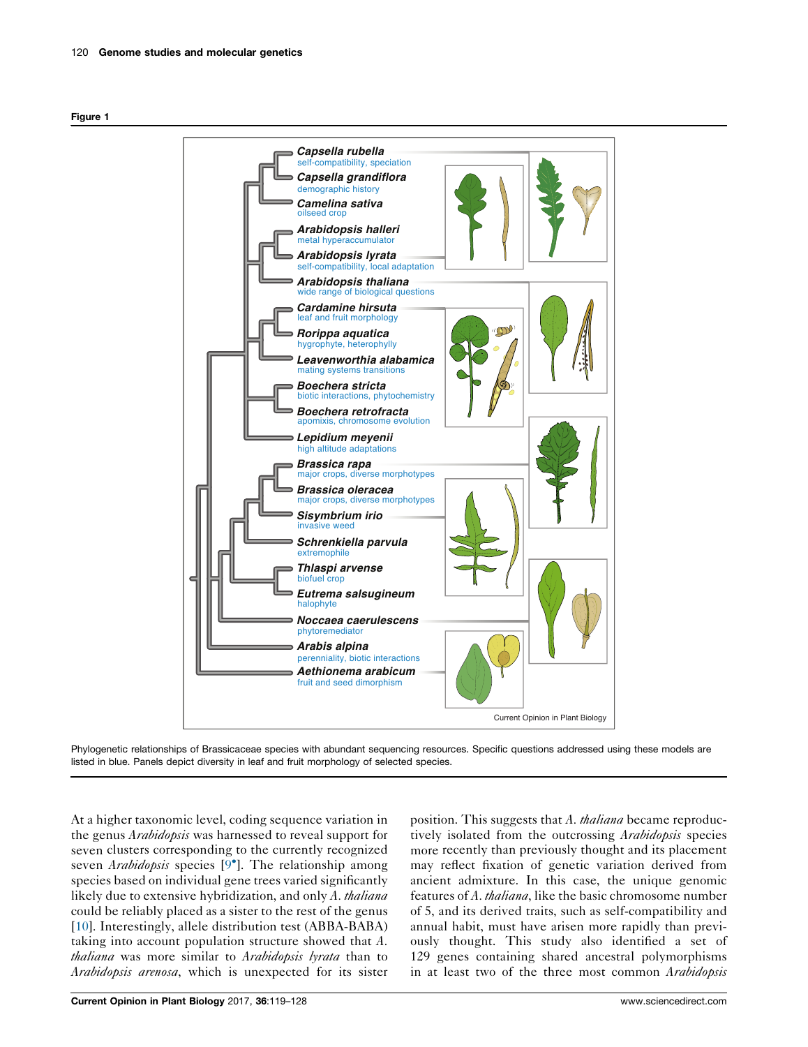<span id="page-1-0"></span>



Phylogenetic relationships of Brassicaceae species with abundant sequencing resources. Specific questions addressed using these models are listed in blue. Panels depict diversity in leaf and fruit morphology of selected species.

At a higher taxonomic level, coding sequence variation in the genus Arabidopsis was harnessed to reveal support for seven clusters corresponding to the currently recognized seven Arabidopsis species [9<sup>\*</sup>]. The [relationship](#page-7-0) among species based on individual gene trees varied significantly likely due to extensive hybridization, and only A. thaliana could be reliably placed as a sister to the rest of the genus [\[10](#page-7-0)]. Interestingly, allele distribution test (ABBA-BABA) taking into account population structure showed that A. thaliana was more similar to Arabidopsis lyrata than to Arabidopsis arenosa, which is unexpected for its sister

position. This suggests that A. *thaliana* became reproductively isolated from the outcrossing *Arabidopsis* species more recently than previously thought and its placement may reflect fixation of genetic variation derived from ancient admixture. In this case, the unique genomic features of A. thaliana, like the basic chromosome number of 5, and its derived traits, such as self-compatibility and annual habit, must have arisen more rapidly than previously thought. This study also identified a set of 129 genes containing shared ancestral polymorphisms in at least two of the three most common Arabidopsis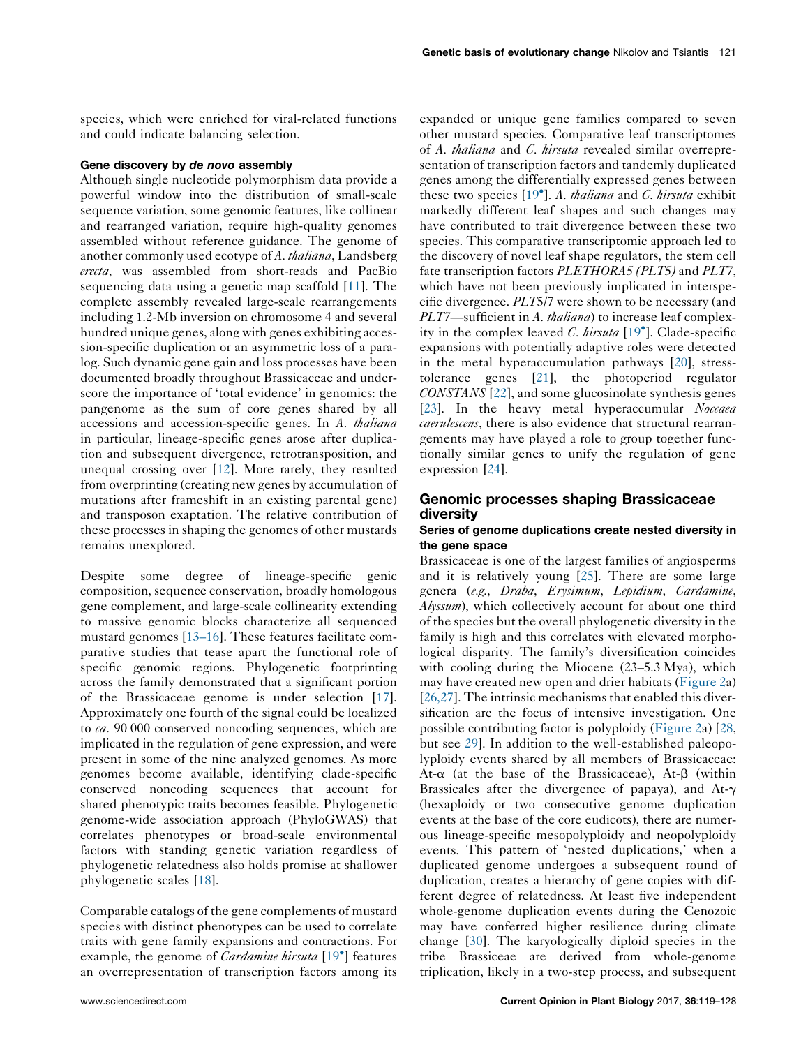species, which were enriched for viral-related functions and could indicate balancing selection.

#### Gene discovery by de novo assembly

Although single nucleotide polymorphism data provide a powerful window into the distribution of small-scale sequence variation, some genomic features, like collinear and rearranged variation, require high-quality genomes assembled without reference guidance. The genome of another commonly used ecotype of A. *thaliana*, Landsberg erecta, was assembled from short-reads and PacBio sequencing data using a genetic map scaffold [[11\]](#page-7-0). The complete assembly revealed large-scale rearrangements including 1.2-Mb inversion on chromosome 4 and several hundred unique genes, along with genes exhibiting accession-specific duplication or an asymmetric loss of a paralog. Such dynamic gene gain and loss processes have been documented broadly throughout Brassicaceae and underscore the importance of 'total evidence' in genomics: the pangenome as the sum of core genes shared by all accessions and accession-specific genes. In A. thaliana in particular, lineage-specific genes arose after duplication and subsequent divergence, retrotransposition, and unequal crossing over [[12\]](#page-7-0). More rarely, they resulted from overprinting (creating new genes by accumulation of mutations after frameshift in an existing parental gene) and transposon exaptation. The relative contribution of these processes in shaping the genomes of other mustards remains unexplored.

Despite some degree of lineage-specific genic composition, sequence conservation, broadly homologous gene complement, and large-scale collinearity extending to massive genomic blocks characterize all sequenced mustard genomes [\[13–16](#page-7-0)]. These features facilitate comparative studies that tease apart the functional role of specific genomic regions. Phylogenetic footprinting across the family demonstrated that a significant portion of the Brassicaceae genome is under selection [\[17](#page-7-0)]. Approximately one fourth of the signal could be localized to *ca*. 90 000 conserved noncoding sequences, which are implicated in the regulation of gene expression, and were present in some of the nine analyzed genomes. As more genomes become available, identifying clade-specific conserved noncoding sequences that account for shared phenotypic traits becomes feasible. Phylogenetic genome-wide association approach (PhyloGWAS) that correlates phenotypes or broad-scale environmental factors with standing genetic variation regardless of phylogenetic relatedness also holds promise at shallower phylogenetic scales [\[18](#page-7-0)].

Comparable catalogs of the gene complements of mustard species with distinct phenotypes can be used to correlate traits with gene family expansions and contractions. For example, the genome of *Cardamine hirsuta* [19<sup>°</sup>] [features](#page-7-0) an overrepresentation of transcription factors among its

expanded or unique gene families compared to seven other mustard species. Comparative leaf transcriptomes of A. thaliana and C. hirsuta revealed similar overrepresentation of transcription factors and tandemly duplicated genes among the differentially expressed genes between these two species  $[19^{\circ}]$ . A. [thaliana](#page-7-0) and C. hirsuta exhibit markedly different leaf shapes and such changes may have contributed to trait divergence between these two species. This comparative transcriptomic approach led to the discovery of novel leaf shape regulators, the stem cell fate transcription factors *PLETHORA5 (PLT5)* and *PLT7*, which have not been previously implicated in interspecific divergence. PLT5/7 were shown to be necessary (and PLT7—sufficient in A. *thaliana*) to increase leaf complexity in the complex leaved *C. hirsuta* [19<sup>°</sup>]. [Clade-specific](#page-7-0) expansions with potentially adaptive roles were detected in the metal hyperaccumulation pathways [\[20](#page-7-0)], stresstolerance genes [[21\]](#page-7-0), the photoperiod regulator CONSTANS [\[22](#page-7-0)], and some glucosinolate synthesis genes [[23](#page-7-0)]. In the heavy metal hyperaccumular Noccaea caerulescens, there is also evidence that structural rearrangements may have played a role to group together functionally similar genes to unify the regulation of gene expression [[24\]](#page-7-0).

## Genomic processes shaping Brassicaceae diversity

#### Series of genome duplications create nested diversity in the gene space

Brassicaceae is one of the largest families of angiosperms and it is relatively young [\[25](#page-7-0)]. There are some large genera (e.g., Draba, Erysimum, Lepidium, Cardamine, Alyssum), which collectively account for about one third of the species but the overall phylogenetic diversity in the family is high and this correlates with elevated morphological disparity. The family's diversification coincides with cooling during the Miocene (23–5.3 Mya), which may have created new open and drier habitats [\(Figure](#page-3-0) 2a)  $[26,27]$  $[26,27]$ . The intrinsic mechanisms that enabled this diversification are the focus of intensive investigation. One possible contributing factor is polyploidy [\(Figure](#page-3-0) 2a) [[28,](#page-7-0) but see [29](#page-8-0)]. In addition to the well-established paleopolyploidy events shared by all members of Brassicaceae: At- $\alpha$  (at the base of the Brassicaceae), At- $\beta$  (within Brassicales after the divergence of papaya), and  $At-\gamma$ (hexaploidy or two consecutive genome duplication events at the base of the core eudicots), there are numerous lineage-specific mesopolyploidy and neopolyploidy events. This pattern of 'nested duplications,' when a duplicated genome undergoes a subsequent round of duplication, creates a hierarchy of gene copies with different degree of relatedness. At least five independent whole-genome duplication events during the Cenozoic may have conferred higher resilience during climate change [\[30](#page-8-0)]. The karyologically diploid species in the tribe Brassiceae are derived from whole-genome triplication, likely in a two-step process, and subsequent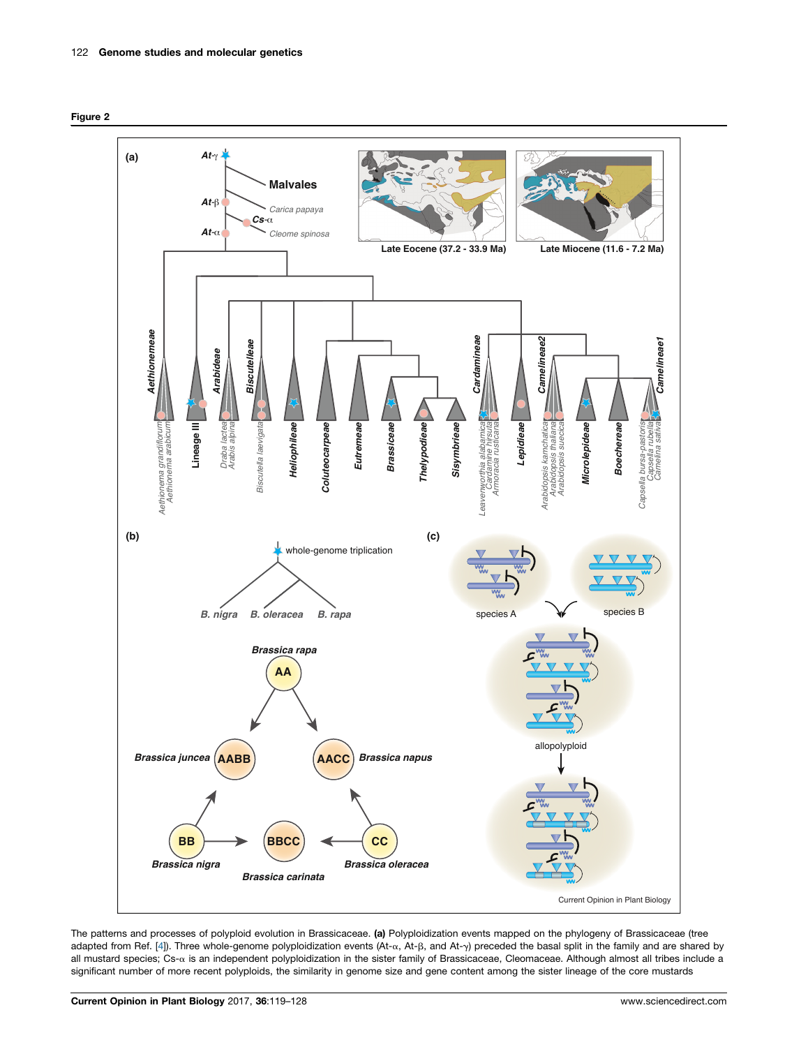<span id="page-3-0"></span>



The patterns and processes of polyploid evolution in Brassicaceae. (a) Polyploidization events mapped on the phylogeny of Brassicaceae (tree adapted from Ref. [[4](#page-7-0)]). Three whole-genome polyploidization events (At- $\alpha$ , At- $\beta$ , and At- $\gamma$ ) preceded the basal split in the family and are shared by all mustard species; Cs- $\alpha$  is an independent polyploidization in the sister family of Brassicaceae, Cleomaceae. Although almost all tribes include a significant number of more recent polyploids, the similarity in genome size and gene content among the sister lineage of the core mustards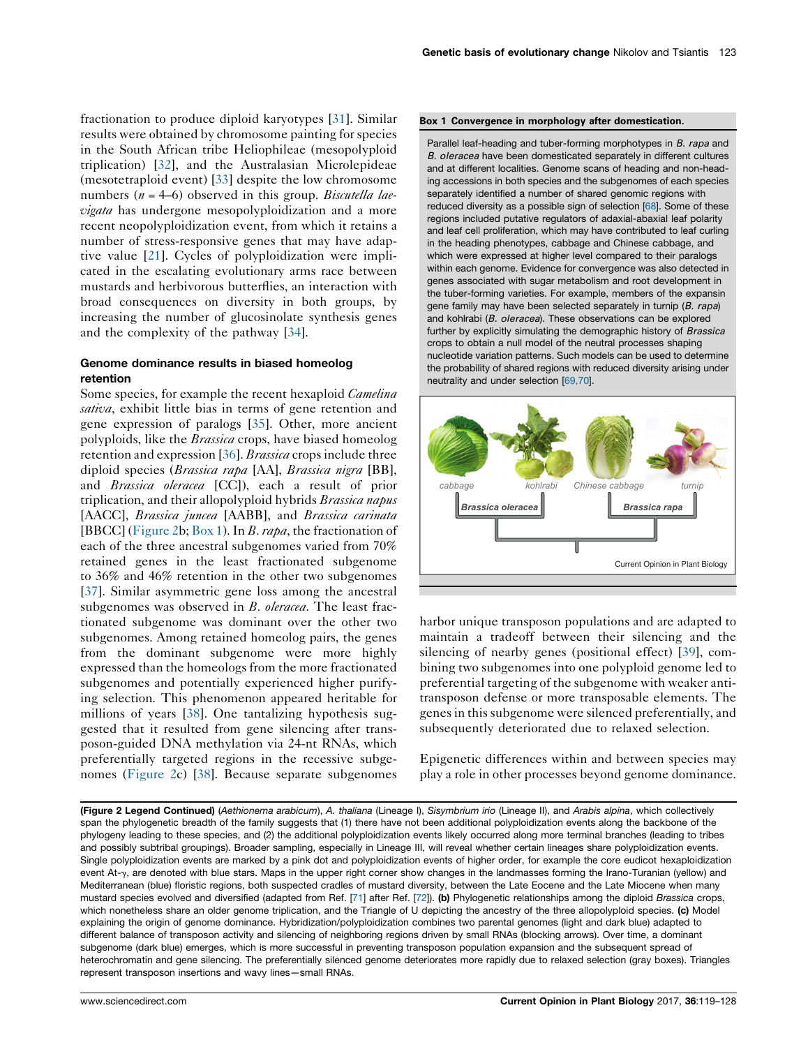fractionation to produce diploid karyotypes [\[31](#page-8-0)]. Similar results were obtained by chromosome painting for species in the South African tribe Heliophileae (mesopolyploid triplication) [[32\]](#page-8-0), and the Australasian Microlepideae (mesotetraploid event) [\[33](#page-8-0)] despite the low chromosome numbers  $(n = 4–6)$  observed in this group. *Biscutella lae*vigata has undergone mesopolyploidization and a more recent neopolyploidization event, from which it retains a number of stress-responsive genes that may have adaptive value [\[21](#page-7-0)]. Cycles of polyploidization were implicated in the escalating evolutionary arms race between mustards and herbivorous butterflies, an interaction with broad consequences on diversity in both groups, by increasing the number of glucosinolate synthesis genes and the complexity of the pathway [\[34](#page-8-0)].

#### Genome dominance results in biased homeolog retention

Some species, for example the recent hexaploid Camelina sativa, exhibit little bias in terms of gene retention and gene expression of paralogs [\[35](#page-8-0)]. Other, more ancient polyploids, like the *Brassica* crops, have biased homeolog retention and expression [[36\]](#page-8-0). *Brassica* crops include three diploid species (*Brassica rapa* [AA], *Brassica nigra* [BB], and Brassica oleracea [CC]), each a result of prior triplication, and their allopolyploid hybrids Brassica napus [AACC], *Brassica juncea* [AABB], and *Brassica carinata* [BBCC] [\(Figure](#page-3-0) 2b; Box 1). In B. rapa, the fractionation of each of the three ancestral subgenomes varied from 70% retained genes in the least fractionated subgenome to 36% and 46% retention in the other two subgenomes [\[37](#page-8-0)]. Similar asymmetric gene loss among the ancestral subgenomes was observed in B. *oleracea*. The least fractionated subgenome was dominant over the other two subgenomes. Among retained homeolog pairs, the genes from the dominant subgenome were more highly expressed than the homeologs from the more fractionated subgenomes and potentially experienced higher purifying selection. This phenomenon appeared heritable for millions of years [[38\]](#page-8-0). One tantalizing hypothesis suggested that it resulted from gene silencing after transposon-guided DNA methylation via 24-nt RNAs, which preferentially targeted regions in the recessive subgenomes [\(Figure](#page-3-0) 2c) [[38\]](#page-8-0). Because separate subgenomes

#### Box 1 Convergence in morphology after domestication.

Parallel leaf-heading and tuber-forming morphotypes in B. rapa and B. oleracea have been domesticated separately in different cultures and at different localities. Genome scans of heading and non-heading accessions in both species and the subgenomes of each species separately identified a number of shared genomic regions with reduced diversity as a possible sign of selection [\[68\]](#page-9-0). Some of these regions included putative regulators of adaxial-abaxial leaf polarity and leaf cell proliferation, which may have contributed to leaf curling in the heading phenotypes, cabbage and Chinese cabbage, and which were expressed at higher level compared to their paralogs within each genome. Evidence for convergence was also detected in genes associated with sugar metabolism and root development in the tuber-forming varieties. For example, members of the expansin gene family may have been selected separately in turnip (B. rapa) and kohlrabi (B. oleracea). These observations can be explored further by explicitly simulating the demographic history of Brassica crops to obtain a null model of the neutral processes shaping nucleotide variation patterns. Such models can be used to determine the probability of shared regions with reduced diversity arising under neutrality and under selection [\[69,70\]](#page-9-0).



harbor unique transposon populations and are adapted to maintain a tradeoff between their silencing and the silencing of nearby genes (positional effect) [\[39](#page-8-0)], combining two subgenomes into one polyploid genome led to preferential targeting of the subgenome with weaker antitransposon defense or more transposable elements. The genes in this subgenome were silenced preferentially, and subsequently deteriorated due to relaxed selection.

Epigenetic differences within and between species may play a role in other processes beyond genome dominance.

(Figure 2 Legend Continued) (Aethionema arabicum), A. thaliana (Lineage I), Sisymbrium irio (Lineage II), and Arabis alpina, which collectively span the phylogenetic breadth of the family suggests that (1) there have not been additional polyploidization events along the backbone of the phylogeny leading to these species, and (2) the additional polyploidization events likely occurred along more terminal branches (leading to tribes and possibly subtribal groupings). Broader sampling, especially in Lineage III, will reveal whether certain lineages share polyploidization events. Single polyploidization events are marked by a pink dot and polyploidization events of higher order, for example the core eudicot hexaploidization event At-<sub>y</sub>, are denoted with blue stars. Maps in the upper right corner show changes in the landmasses forming the Irano-Turanian (yellow) and Mediterranean (blue) floristic regions, both suspected cradles of mustard diversity, between the Late Eocene and the Late Miocene when many mustard species evolved and diversified (adapted from Ref. [\[71\]](#page-9-0) after Ref. [[72\]](#page-9-0)). (b) Phylogenetic relationships among the diploid Brassica crops, which nonetheless share an older genome triplication, and the Triangle of U depicting the ancestry of the three allopolyploid species. (c) Model explaining the origin of genome dominance. Hybridization/polyploidization combines two parental genomes (light and dark blue) adapted to different balance of transposon activity and silencing of neighboring regions driven by small RNAs (blocking arrows). Over time, a dominant subgenome (dark blue) emerges, which is more successful in preventing transposon population expansion and the subsequent spread of heterochromatin and gene silencing. The preferentially silenced genome deteriorates more rapidly due to relaxed selection (gray boxes). Triangles represent transposon insertions and wavy lines—small RNAs.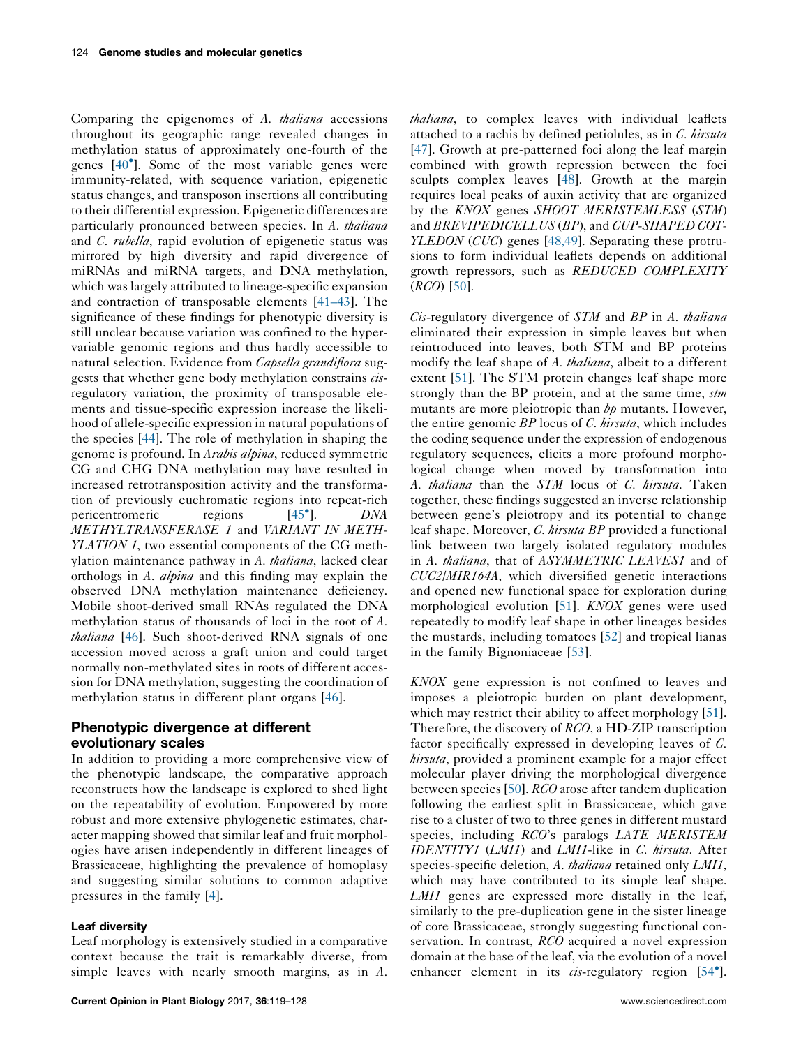Comparing the epigenomes of A. thaliana accessions throughout its geographic range revealed changes in methylation status of approximately one-fourth of the genes [40 ]. Some of the most [variable](#page-8-0) genes were immunity-related, with sequence variation, epigenetic status changes, and transposon insertions all contributing to their differential expression. Epigenetic differences are particularly pronounced between species. In A. thaliana and C. rubella, rapid evolution of epigenetic status was mirrored by high diversity and rapid divergence of miRNAs and miRNA targets, and DNA methylation, which was largely attributed to lineage-specific expansion and contraction of transposable elements [[41–43\]](#page-8-0). The significance of these findings for phenotypic diversity is still unclear because variation was confined to the hypervariable genomic regions and thus hardly accessible to natural selection. Evidence from Capsella grandiflora suggests that whether gene body methylation constrains *cis*regulatory variation, the proximity of transposable elements and tissue-specific expression increase the likelihood of allele-specific expression in natural populations of the species [[44\]](#page-8-0). The role of methylation in shaping the genome is profound. In Arabis alpina, reduced symmetric CG and CHG DNA methylation may have resulted in increased retrotransposition activity and the transformation of previously euchromatic regions into repeat-rich pericentromeric regions [45<sup>°</sup>]. ]. [DNA](#page-8-0) METHYLTRANSFERASE 1 and VARIANT IN METH-YLATION 1, two essential components of the CG methylation maintenance pathway in A. thaliana, lacked clear orthologs in A. *alpina* and this finding may explain the observed DNA methylation maintenance deficiency. Mobile shoot-derived small RNAs regulated the DNA methylation status of thousands of loci in the root of A. thaliana [[46\]](#page-8-0). Such shoot-derived RNA signals of one accession moved across a graft union and could target normally non-methylated sites in roots of different accession for DNA methylation, suggesting the coordination of methylation status in different plant organs [[46\]](#page-8-0).

## Phenotypic divergence at different evolutionary scales

In addition to providing a more comprehensive view of the phenotypic landscape, the comparative approach reconstructs how the landscape is explored to shed light on the repeatability of evolution. Empowered by more robust and more extensive phylogenetic estimates, character mapping showed that similar leaf and fruit morphologies have arisen independently in different lineages of Brassicaceae, highlighting the prevalence of homoplasy and suggesting similar solutions to common adaptive pressures in the family [[4\]](#page-7-0).

#### Leaf diversity

Leaf morphology is extensively studied in a comparative context because the trait is remarkably diverse, from simple leaves with nearly smooth margins, as in A. thaliana, to complex leaves with individual leaflets attached to a rachis by defined petiolules, as in C. hirsuta [\[47](#page-8-0)]. Growth at pre-patterned foci along the leaf margin combined with growth repression between the foci sculpts complex leaves [[48\]](#page-8-0). Growth at the margin requires local peaks of auxin activity that are organized by the KNOX genes SHOOT MERISTEMLESS (STM) and BREVIPEDICELLUS (BP), and CUP-SHAPED COT-YLEDON (CUC) genes [[48,49](#page-8-0)]. Separating these protrusions to form individual leaflets depends on additional growth repressors, such as REDUCED COMPLEXITY (RCO) [[50\]](#page-8-0).

 $Cis$ -regulatory divergence of  $STM$  and  $BP$  in A. thaliana eliminated their expression in simple leaves but when reintroduced into leaves, both STM and BP proteins modify the leaf shape of A. thaliana, albeit to a different extent [[51\]](#page-8-0). The STM protein changes leaf shape more strongly than the BP protein, and at the same time, stm mutants are more pleiotropic than  $bp$  mutants. However, the entire genomic  $BP$  locus of  $C$ . hirsuta, which includes the coding sequence under the expression of endogenous regulatory sequences, elicits a more profound morphological change when moved by transformation into A. *thaliana* than the *STM* locus of *C. hirsuta*. Taken together, these findings suggested an inverse relationship between gene's pleiotropy and its potential to change leaf shape. Moreover, C. hirsuta BP provided a functional link between two largely isolated regulatory modules in A. *thaliana*, that of ASYMMETRIC LEAVES1 and of CUC2/MIR164A, which diversified genetic interactions and opened new functional space for exploration during morphological evolution [\[51](#page-8-0)]. KNOX genes were used repeatedly to modify leaf shape in other lineages besides the mustards, including tomatoes [\[52](#page-8-0)] and tropical lianas in the family Bignoniaceae [\[53](#page-8-0)].

KNOX gene expression is not confined to leaves and imposes a pleiotropic burden on plant development, which may restrict their ability to affect morphology [[51](#page-8-0)]. Therefore, the discovery of RCO, a HD-ZIP transcription factor specifically expressed in developing leaves of C. hirsuta, provided a prominent example for a major effect molecular player driving the morphological divergence between species [\[50](#page-8-0)]. RCO arose after tandem duplication following the earliest split in Brassicaceae, which gave rise to a cluster of two to three genes in different mustard species, including RCO's paralogs LATE MERISTEM IDENTITY1 (LMI1) and LMI1-like in C. hirsuta. After species-specific deletion, A. *thaliana* retained only *LM11*, which may have contributed to its simple leaf shape. LMI1 genes are expressed more distally in the leaf, similarly to the pre-duplication gene in the sister lineage of core Brassicaceae, strongly suggesting functional conservation. In contrast, RCO acquired a novel expression domain at the base of the leaf, via the evolution of a novel enhancer element in its  $\vec{cis}$ -regulatory region [[54](#page-8-0)°].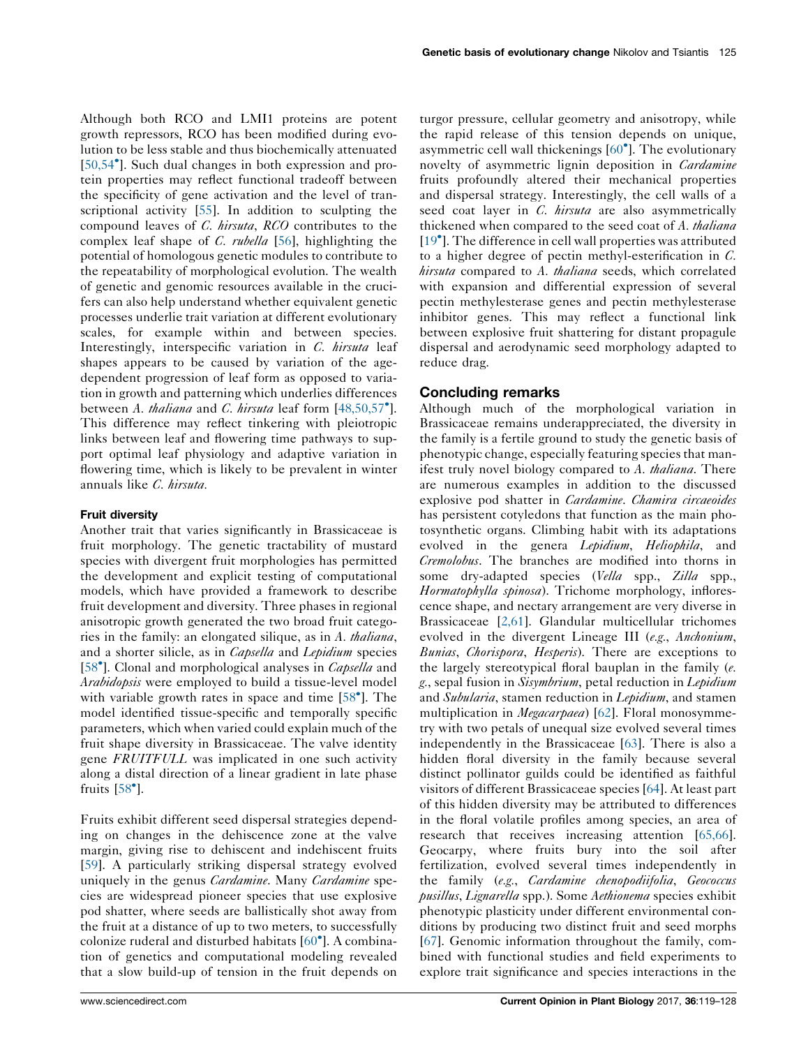Although both RCO and LMI1 proteins are potent growth repressors, RCO has been modified during evolution to be less stable and thus biochemically attenuated [50,54 ]. Such dual changes in both [expression](#page-8-0) and protein properties may reflect functional tradeoff between the specificity of gene activation and the level of transcriptional activity [\[55](#page-8-0)]. In addition to sculpting the compound leaves of C. hirsuta, RCO contributes to the complex leaf shape of *C. rubella* [\[56](#page-8-0)], highlighting the potential of homologous genetic modules to contribute to the repeatability of morphological evolution. The wealth of genetic and genomic resources available in the crucifers can also help understand whether equivalent genetic processes underlie trait variation at different evolutionary scales, for example within and between species. Interestingly, interspecific variation in C. hirsuta leaf shapes appears to be caused by variation of the agedependent progression of leaf form as opposed to variation in growth and patterning which underlies differences between A. *thaliana* and C. *hirsuta* leaf form [[48,50,57](#page-8-0)<sup>°</sup>]. This difference may reflect tinkering with pleiotropic links between leaf and flowering time pathways to support optimal leaf physiology and adaptive variation in flowering time, which is likely to be prevalent in winter annuals like C. hirsuta.

#### Fruit diversity

Another trait that varies significantly in Brassicaceae is fruit morphology. The genetic tractability of mustard species with divergent fruit morphologies has permitted the development and explicit testing of computational models, which have provided a framework to describe fruit development and diversity. Three phases in regional anisotropic growth generated the two broad fruit categories in the family: an elongated silique, as in A. *thaliana*, and a shorter silicle, as in *Capsella* and *Lepidium* species [58<sup>\*</sup>]. Clonal and [morphological](#page-8-0) analyses in *Capsella* and Arabidopsis were employed to build a tissue-level model with variable growth rates in space and time [58 ]. [The](#page-8-0) model identified tissue-specific and temporally specific parameters, which when varied could explain much of the fruit shape diversity in Brassicaceae. The valve identity gene FRUITFULL was implicated in one such activity along a distal direction of a linear gradient in late phase fruits [[58](#page-8-0)<sup>°</sup>].

Fruits exhibit different seed dispersal strategies depending on changes in the dehiscence zone at the valve margin, giving rise to dehiscent and indehiscent fruits [\[59](#page-8-0)]. A particularly striking dispersal strategy evolved uniquely in the genus *Cardamine*. Many *Cardamine* species are widespread pioneer species that use explosive pod shatter, where seeds are ballistically shot away from the fruit at a distance of up to two meters, to successfully colonize ruderal and disturbed habitats [60 ]. A [combina](#page-8-0)tion of genetics and computational modeling revealed that a slow build-up of tension in the fruit depends on

turgor pressure, cellular geometry and anisotropy, while the rapid release of this tension depends on unique, asymmetric cell wall thickenings [60 ]. The [evolutionary](#page-8-0) novelty of asymmetric lignin deposition in *Cardamine* fruits profoundly altered their mechanical properties and dispersal strategy. Interestingly, the cell walls of a seed coat layer in C. hirsuta are also asymmetrically thickened when compared to the seed coat of A. *thaliana* [19 ]. The [difference](#page-7-0) in cell wall properties was attributed to a higher degree of pectin methyl-esterification in C. hirsuta compared to A. *thaliana* seeds, which correlated with expansion and differential expression of several pectin methylesterase genes and pectin methylesterase inhibitor genes. This may reflect a functional link between explosive fruit shattering for distant propagule dispersal and aerodynamic seed morphology adapted to reduce drag.

## Concluding remarks

Although much of the morphological variation in Brassicaceae remains underappreciated, the diversity in the family is a fertile ground to study the genetic basis of phenotypic change, especially featuring speciesthat manifest truly novel biology compared to A. *thaliana*. There are numerous examples in addition to the discussed explosive pod shatter in Cardamine. Chamira circaeoides has persistent cotyledons that function as the main photosynthetic organs. Climbing habit with its adaptations evolved in the genera Lepidium, Heliophila, and Cremolobus. The branches are modified into thorns in some dry-adapted species (Vella spp., Zilla spp., Hormatophylla spinosa). Trichome morphology, inflorescence shape, and nectary arrangement are very diverse in Brassicaceae [\[2,61\]](#page-7-0). Glandular multicellular trichomes evolved in the divergent Lineage III (e.g., Anchonium, Bunias, *Chorispora*, *Hesperis*). There are exceptions to the largely stereotypical floral bauplan in the family (e. g., sepal fusion in Sisymbrium, petal reduction in Lepidium and Subularia, stamen reduction in Lepidium, and stamen multiplication in *Megacarpaea*) [\[62](#page-9-0)]. Floral monosymmetry with two petals of unequal size evolved several times independently in the Brassicaceae [[63\]](#page-9-0). There is also a hidden floral diversity in the family because several distinct pollinator guilds could be identified as faithful visitors of different Brassicaceae species [\[64](#page-9-0)]. At least part of this hidden diversity may be attributed to differences in the floral volatile profiles among species, an area of research that receives increasing attention [\[65,66\]](#page-9-0). Geocarpy, where fruits bury into the soil after fertilization, evolved several times independently in the family (e.g., Cardamine chenopodiifolia, Geococcus pusillus, Lignarella spp.). Some Aethionema species exhibit phenotypic plasticity under different environmental conditions by producing two distinct fruit and seed morphs [[67](#page-9-0)]. Genomic information throughout the family, combined with functional studies and field experiments to explore trait significance and species interactions in the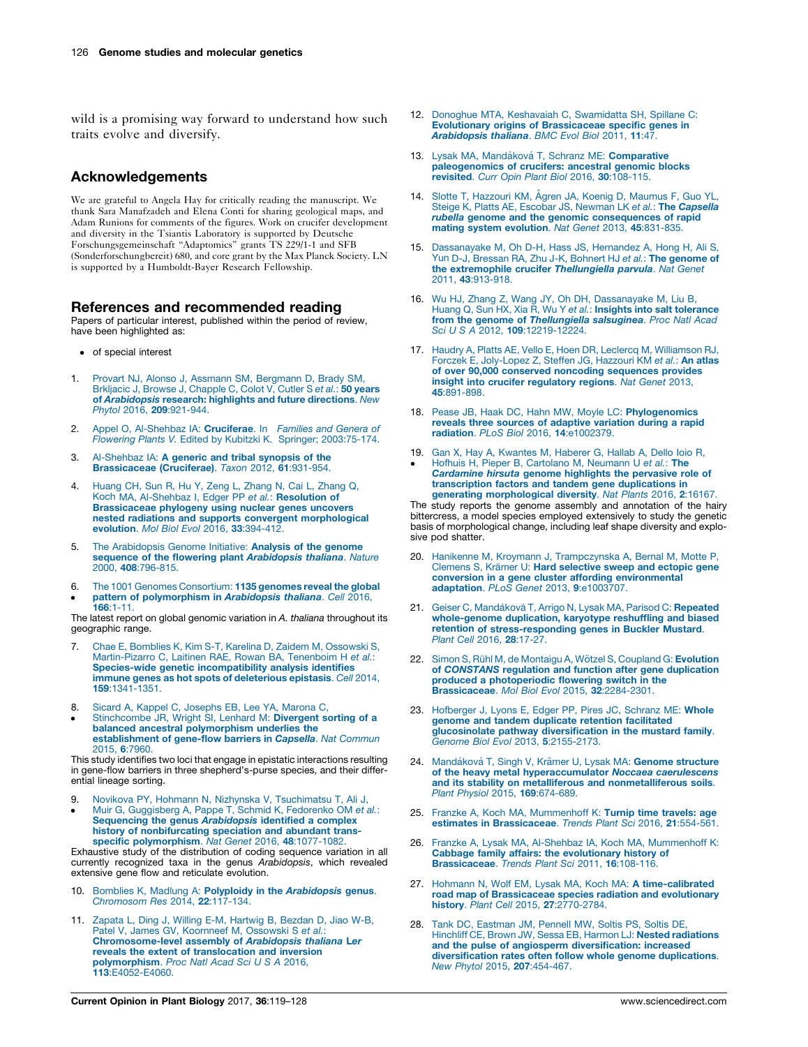<span id="page-7-0"></span>wild is a promising way forward to understand how such traits evolve and diversify.

# Acknowledgements

We are grateful to Angela Hay for critically reading the manuscript. We thank Sara Manafzadeh and Elena Conti for sharing geological maps, and Adam Runions for comments of the figures. Work on crucifer development and diversity in the Tsiantis Laboratory is supported by Deutsche Forschungsgemeinschaft "Adaptomics" grants TS 229/1-1 and SFB (Sonderforschungbereit) 680, and core grant by the Max Planck Society. LN is supported by a Humboldt-Bayer Research Fellowship.

#### References and recommended reading

Papers of particular interest, published within the period of review, have been highlighted as:

- of special interest
- 1. Provart NJ, Alonso J, Assmann SM, [Bergmann](http://refhub.elsevier.com/S1369-5266(17)30001-8/sbref0005) D, Brady SM,<br>[Brkljacic](http://refhub.elsevier.com/S1369-5266(17)30001-8/sbref0005) J, Browse J, Chapple C, Colot V, Cutler S et al.: 50 years of [Arabidopsis](http://refhub.elsevier.com/S1369-5266(17)30001-8/sbref0005) research: highlights and future directions. New Phytol 2016, 209[:921-944.](http://refhub.elsevier.com/S1369-5266(17)30001-8/sbref0005)
- 2. Appel O, [Al-Shehbaz](http://refhub.elsevier.com/S1369-5266(17)30001-8/sbref0010) IA: Cruciferae. In Families and Genera of Flowering Plants V. Edited by Kubitzki K. Springer; [2003:75-174.](http://refhub.elsevier.com/S1369-5266(17)30001-8/sbref0010)
- 3. [Al-Shehbaz](http://refhub.elsevier.com/S1369-5266(17)30001-8/sbref0015) IA: A generic and tribal synopsis of the [Brassicaceae](http://refhub.elsevier.com/S1369-5266(17)30001-8/sbref0015) (Cruciferae). Taxon 2012, 61:931-954.
- 4. [Huang](http://refhub.elsevier.com/S1369-5266(17)30001-8/sbref0020) CH, Sun R, Hu Y, Zeng L, Zhang N, Cai L, Zhang Q,<br>Koch MA, [Al-Shehbaz](http://refhub.elsevier.com/S1369-5266(17)30001-8/sbref0020) I, Edger PP *et al.*: **Resolution of** [Brassicaceae](http://refhub.elsevier.com/S1369-5266(17)30001-8/sbref0020) phylogeny using nuclear genes uncovers nested radiations and supports convergent [morphological](http://refhub.elsevier.com/S1369-5266(17)30001-8/sbref0020) [evolution](http://refhub.elsevier.com/S1369-5266(17)30001-8/sbref0020). Mol Biol Evol 2016, 33:394-412.
- 5. The [Arabidopsis](http://refhub.elsevier.com/S1369-5266(17)30001-8/sbref0025) Genome Initiative: Analysis of the genome sequence of the flowering plant [Arabidopsis](http://refhub.elsevier.com/S1369-5266(17)30001-8/sbref0025) thaliana. Nature 2000, 408[:796-815.](http://refhub.elsevier.com/S1369-5266(17)30001-8/sbref0025)
- 6.  $\bullet$ The 1001 Genomes [Consortium:](http://refhub.elsevier.com/S1369-5266(17)30001-8/sbref0030) 1135 genomes reveal the global pattern of [polymorphism](http://refhub.elsevier.com/S1369-5266(17)30001-8/sbref0030) in Arabidopsis thaliana. Cell 2016,

166[:1-11.](http://refhub.elsevier.com/S1369-5266(17)30001-8/sbref0030) The latest report on global genomic variation in A. thaliana throughout its geographic range.

- 7. Chae E, Bomblies K, Kim S-T, Karelina D, Zaidem M, [Ossowski](http://refhub.elsevier.com/S1369-5266(17)30001-8/sbref0035) S, [Martin-Pizarro](http://refhub.elsevier.com/S1369-5266(17)30001-8/sbref0035) C, Laitinen RAE, Rowan BA, Tenenboim H et al.: Species-wide genetic [incompatibility](http://refhub.elsevier.com/S1369-5266(17)30001-8/sbref0035) analysis identifies immune genes as hot spots of [deleterious](http://refhub.elsevier.com/S1369-5266(17)30001-8/sbref0035) epistasis. Cell 2014, 159[:1341-1351.](http://refhub.elsevier.com/S1369-5266(17)30001-8/sbref0035)
- 8. Sicard A, Kappel C, [Josephs](http://refhub.elsevier.com/S1369-5266(17)30001-8/sbref0040) EB, Lee YA, Marona C,
- $\bullet$ [Stinchcombe](http://refhub.elsevier.com/S1369-5266(17)30001-8/sbref0040) JR, Wright SI, Lenhard M: Divergent sorting of a balanced ancestral [polymorphism](http://refhub.elsevier.com/S1369-5266(17)30001-8/sbref0040) underlies the [establishment](http://refhub.elsevier.com/S1369-5266(17)30001-8/sbref0040) of gene-flow barriers in Capsella. Nat Commun 2015, 6[:7960.](http://refhub.elsevier.com/S1369-5266(17)30001-8/sbref0040)

This study identifies two loci that engage in epistatic interactions resulting in gene-flow barriers in three shepherd's-purse species, and their differential lineage sorting.

- 9. Novikova PY, Hohmann N, Nizhynska V, [Tsuchimatsu](http://refhub.elsevier.com/S1369-5266(17)30001-8/sbref0045) T, Ali J,
- $\bullet$ Muir G, [Guggisberg](http://refhub.elsevier.com/S1369-5266(17)30001-8/sbref0045) A, Pappe T, Schmid K, Fedorenko OM et al.: Sequencing the genus [Arabidopsis](http://refhub.elsevier.com/S1369-5266(17)30001-8/sbref0045) identified a complex history of [nonbifurcating](http://refhub.elsevier.com/S1369-5266(17)30001-8/sbref0045) speciation and abundant trans-specific [polymorphism](http://refhub.elsevier.com/S1369-5266(17)30001-8/sbref0045). Nat Genet 2016, 48:1077-1082.

Exhaustive study of the distribution of coding sequence variation in all currently recognized taxa in the genus Arabidopsis, which revealed extensive gene flow and reticulate evolution.

- 10. Bomblies K, Madlung A: Polyploidy in the [Arabidopsis](http://refhub.elsevier.com/S1369-5266(17)30001-8/sbref0050) genus. [Chromosom](http://refhub.elsevier.com/S1369-5266(17)30001-8/sbref0050) Res 2014, 22:117-134.
- 11. Zapata L, Ding J, Willing E-M, [Hartwig](http://refhub.elsevier.com/S1369-5266(17)30001-8/sbref0055) B, Bezdan D, Jiao W-B, Patel V, James GV, [Koornneef](http://refhub.elsevier.com/S1369-5266(17)30001-8/sbref0055) M, Ossowski S et al.: [Chromosome-level](http://refhub.elsevier.com/S1369-5266(17)30001-8/sbref0055) assembly of Arabidopsis thaliana Ler reveals the extent of [translocation](http://refhub.elsevier.com/S1369-5266(17)30001-8/sbref0055) and inversion [polymorphism](http://refhub.elsevier.com/S1369-5266(17)30001-8/sbref0055). Proc Natl Acad Sci U S A 2016, 113[:E4052-E4060.](http://refhub.elsevier.com/S1369-5266(17)30001-8/sbref0055)
- 12. Donoghue MTA, Keshavaiah C, [Swamidatta](http://refhub.elsevier.com/S1369-5266(17)30001-8/sbref0060) SH, Spillane C: Evolutionary origins of [Brassicaceae](http://refhub.elsevier.com/S1369-5266(17)30001-8/sbref0060) specific genes in [Arabidopsis](http://refhub.elsevier.com/S1369-5266(17)30001-8/sbref0060) thaliana. BMC Evol Biol 2011, 11:47.
- 13. Lysak MA, Mandáková T, Schranz ME: [Comparative](http://refhub.elsevier.com/S1369-5266(17)30001-8/sbref0065) [paleogenomics](http://refhub.elsevier.com/S1369-5266(17)30001-8/sbref0065) of crucifers: ancestral genomic blocks revisited. Curr Opin Plant Biol 2016, 30[:108-115.](http://refhub.elsevier.com/S1369-5266(17)30001-8/sbref0065)
- 14. Slotte T, [Hazzouri](http://refhub.elsevier.com/S1369-5266(17)30001-8/sbref0070) KM, Ågren JA, Koenig D, Maumus F, Guo YL, Steige K, Platts AE, Escobar JS, Newman LK et al.: The [Capsella](http://refhub.elsevier.com/S1369-5266(17)30001-8/sbref0070) rubella genome and the genomic [consequences](http://refhub.elsevier.com/S1369-5266(17)30001-8/sbref0070) of rapid<br>mating system [evolution](http://refhub.elsevier.com/S1369-5266(17)30001-8/sbref0070). Nat Genet 2013, 45:831-835.
- 15. [Dassanayake](http://refhub.elsevier.com/S1369-5266(17)30001-8/sbref0075) M, Oh D-H, Hass JS, Hernandez A, Hong H, Ali S, Yun D-J, Bressan RA, Zhu J-K, Bohnert HJ et al.: **The [genome](http://refhub.elsevier.com/S1369-5266(17)30001-8/sbref0075) of** the [extremophile](http://refhub.elsevier.com/S1369-5266(17)30001-8/sbref0075) crucifer Thellungiella parvula. Nat Genet 2011, 43[:913-918.](http://refhub.elsevier.com/S1369-5266(17)30001-8/sbref0075)
- 16. Wu HJ, Zhang Z, Wang JY, Oh DH, [Dassanayake](http://refhub.elsevier.com/S1369-5266(17)30001-8/sbref0080) M, Liu B, Huang Q, Sun HX, Xia R, Wu Y et al.: Insights into salt [tolerance](http://refhub.elsevier.com/S1369-5266(17)30001-8/sbref0080) from the genome of [Thellungiella](http://refhub.elsevier.com/S1369-5266(17)30001-8/sbref0080) salsuginea. Proc Natl Acad Sci U S A 2012, **109**[:12219-12224.](http://refhub.elsevier.com/S1369-5266(17)30001-8/sbref0080)
- 17. Haudry A, Platts AE, Vello E, Hoen DR, Leclercq M, [Williamson](http://refhub.elsevier.com/S1369-5266(17)30001-8/sbref0085) RJ, Forczek E, [Joly-Lopez](http://refhub.elsevier.com/S1369-5266(17)30001-8/sbref0085) Z, Steffen JG, Hazzouri KM et al.: An atlas of over 90,000 conserved noncoding [sequences](http://refhub.elsevier.com/S1369-5266(17)30001-8/sbref0085) provides insight into crucifer [regulatory](http://refhub.elsevier.com/S1369-5266(17)30001-8/sbref0085) regions. Nat Genet 2013, 45[:891-898.](http://refhub.elsevier.com/S1369-5266(17)30001-8/sbref0085)
- 18. Pease JB, Haak DC, Hahn MW, Moyle LC: [Phylogenomics](http://refhub.elsevier.com/S1369-5266(17)30001-8/sbref0090) reveals three sources of adaptive [variation](http://refhub.elsevier.com/S1369-5266(17)30001-8/sbref0090) during a rapid radiation. PLoS Biol 2016, 14[:e1002379.](http://refhub.elsevier.com/S1369-5266(17)30001-8/sbref0090)
- 19. Gan X, Hay A, [Kwantes](http://refhub.elsevier.com/S1369-5266(17)30001-8/sbref0095) M, Haberer G, Hallab A, Dello Ioio R,  $\cdot$ Hofhuis H, Pieper B, [Cartolano](http://refhub.elsevier.com/S1369-5266(17)30001-8/sbref0095) M, Neumann U et al.: The [Cardamine](http://refhub.elsevier.com/S1369-5266(17)30001-8/sbref0095) hirsuta genome highlights the pervasive role of [transcription](http://refhub.elsevier.com/S1369-5266(17)30001-8/sbref0095) factors and tandem gene duplications in generating [morphological](http://refhub.elsevier.com/S1369-5266(17)30001-8/sbref0095) diversity. Nat Plants 2016, 2:16167.

The study reports the genome assembly and annotation of the hairy bittercress, a model species employed extensively to study the genetic basis of morphological change, including leaf shape diversity and explosive pod shatter.

- 20. Hanikenne M, Kroymann J, [Trampczynska](http://refhub.elsevier.com/S1369-5266(17)30001-8/sbref0100) A, Bernal M, Motte P, Clemens S, Krämer U: Hard [selective](http://refhub.elsevier.com/S1369-5266(17)30001-8/sbref0100) sweep and ectopic gene conversion in a gene cluster affording [environmental](http://refhub.elsevier.com/S1369-5266(17)30001-8/sbref0100) [adaptation](http://refhub.elsevier.com/S1369-5266(17)30001-8/sbref0100). PLoS Genet 2013, 9:e1003707.
- 21. Geiser C, Mandáková T, Arrigo N, Lysak MA, Parisod C: [Repeated](http://refhub.elsevier.com/S1369-5266(17)30001-8/sbref0105) [whole-genome](http://refhub.elsevier.com/S1369-5266(17)30001-8/sbref0105) duplication, karyotype reshuffling and biased retention of [stress-responding](http://refhub.elsevier.com/S1369-5266(17)30001-8/sbref0105) genes in Buckler Mustard. Plant Cell 2016, 28[:17-27.](http://refhub.elsevier.com/S1369-5266(17)30001-8/sbref0105)
- 22. Simon S, Rühl M, de Montaigu A, Wötzel S, Coupland G: [Evolution](http://refhub.elsevier.com/S1369-5266(17)30001-8/sbref0110) of [CONSTANS](http://refhub.elsevier.com/S1369-5266(17)30001-8/sbref0110) regulation and function after gene duplication produced a [photoperiodic](http://refhub.elsevier.com/S1369-5266(17)30001-8/sbref0110) flowering switch in the **[Brassicaceae](http://refhub.elsevier.com/S1369-5266(17)30001-8/sbref0110).** Mol Biol Evol 2015, 32:2284-2301.
- 23. [Hofberger](http://refhub.elsevier.com/S1369-5266(17)30001-8/sbref0115) J, Lyons E, Edger PP, Pires JC, Schranz ME: Whole genome and tandem duplicate retention [facilitated](http://refhub.elsevier.com/S1369-5266(17)30001-8/sbref0115) glucosinolate pathway [diversification](http://refhub.elsevier.com/S1369-5266(17)30001-8/sbref0115) in the mustard family. Genome Biol Evol 2013, 5[:2155-2173.](http://refhub.elsevier.com/S1369-5266(17)30001-8/sbref0115)
- 24. Mandáková T, Singh V, Krämer U, Lysak MA: Genome [structure](http://refhub.elsevier.com/S1369-5266(17)30001-8/sbref0120)<br>of the heavy metal [hyperaccumulator](http://refhub.elsevier.com/S1369-5266(17)30001-8/sbref0120) Noccaea caerulescens and its stability on metalliferous and [nonmetalliferous](http://refhub.elsevier.com/S1369-5266(17)30001-8/sbref0120) soils. Plant Physiol 2015, 169[:674-689.](http://refhub.elsevier.com/S1369-5266(17)30001-8/sbref0120)
- 25. Franzke A, Koch MA, [Mummenhoff](http://refhub.elsevier.com/S1369-5266(17)30001-8/sbref0125) K: Turnip time travels: age estimates in [Brassicaceae](http://refhub.elsevier.com/S1369-5266(17)30001-8/sbref0125). Trends Plant Sci 2016, 21:554-561.
- 26. Franzke A, Lysak MA, Al-Shehbaz IA, Koch MA, [Mummenhoff](http://refhub.elsevier.com/S1369-5266(17)30001-8/sbref0130) K: Cabbage family affairs: the [evolutionary](http://refhub.elsevier.com/S1369-5266(17)30001-8/sbref0130) history of [Brassicaceae](http://refhub.elsevier.com/S1369-5266(17)30001-8/sbref0130). Trends Plant Sci 2011, 16:108-116
- 27. Hohmann N, Wolf EM, Lysak MA, Koch MA: A [time-calibrated](http://refhub.elsevier.com/S1369-5266(17)30001-8/sbref0135) road map of [Brassicaceae](http://refhub.elsevier.com/S1369-5266(17)30001-8/sbref0135) species radiation and evolutionary history. Plant Cell 2015, 27[:2770-2784.](http://refhub.elsevier.com/S1369-5266(17)30001-8/sbref0135)
- 28. Tank DC, [Eastman](http://refhub.elsevier.com/S1369-5266(17)30001-8/sbref0140) JM, Pennell MW, Soltis PS, Soltis DE, Hinchliff CE, Brown JW, Sessa EB, Harmon LJ: Nested [radiations](http://refhub.elsevier.com/S1369-5266(17)30001-8/sbref0140) and the pulse of angiosperm [diversification:](http://refhub.elsevier.com/S1369-5266(17)30001-8/sbref0140) increased [diversification](http://refhub.elsevier.com/S1369-5266(17)30001-8/sbref0140) rates often follow whole genome duplications. New Phytol 2015, 207[:454-467.](http://refhub.elsevier.com/S1369-5266(17)30001-8/sbref0140)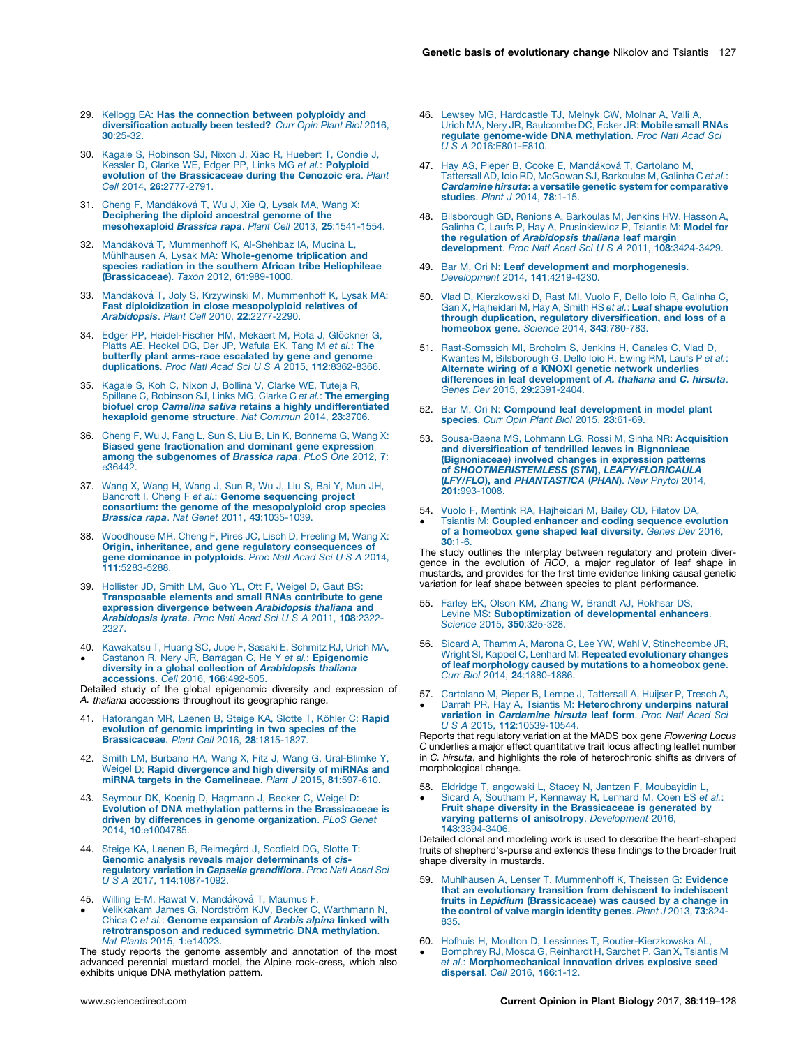- <span id="page-8-0"></span>29. Kellogg EA: Has the [connection](http://refhub.elsevier.com/S1369-5266(17)30001-8/sbref0145) between polyploidy and [diversification](http://refhub.elsevier.com/S1369-5266(17)30001-8/sbref0145) actually been tested? Curr Opin Plant Biol 2016, 30[:25-32.](http://refhub.elsevier.com/S1369-5266(17)30001-8/sbref0145)
- 30. Kagale S, [Robinson](http://refhub.elsevier.com/S1369-5266(17)30001-8/sbref0150) SJ, Nixon J, Xiao R, Huebert T, Condie J, Kessler D, Clarke WE, Edger PP, Links MG et al.: **[Polyploid](http://refhub.elsevier.com/S1369-5266(17)30001-8/sbref0150)** evolution of the [Brassicaceae](http://refhub.elsevier.com/S1369-5266(17)30001-8/sbref0150) during the Cenozoic era. Plant Cell 2014, 26[:2777-2791.](http://refhub.elsevier.com/S1369-5266(17)30001-8/sbref0150)
- 31. Cheng F, Mandáková T, Wu J, Xie Q, Lysak MA, Wang X: [Deciphering](http://refhub.elsevier.com/S1369-5266(17)30001-8/sbref0155) the diploid ancestral genome of the [mesohexaploid](http://refhub.elsevier.com/S1369-5266(17)30001-8/sbref0155) Brassica rapa. Plant Cell 2013, 25:1541-1554.
- 32. Mandáková T, [Mummenhoff](http://refhub.elsevier.com/S1369-5266(17)30001-8/sbref0160) K, Al-Shehbaz IA, Mucina L, Mühlhausen A, Lysak MA: [Whole-genome](http://refhub.elsevier.com/S1369-5266(17)30001-8/sbref0160) triplication and species radiation in the southern African tribe [Heliophileae](http://refhub.elsevier.com/S1369-5266(17)30001-8/sbref0160)<br>[\(Brassicaceae\)](http://refhub.elsevier.com/S1369-5266(17)30001-8/sbref0160). *Taxon* 2012, 61:989-1000.
- 33. Mandáková T, Joly S, Krzywinski M, [Mummenhoff](http://refhub.elsevier.com/S1369-5266(17)30001-8/sbref0165) K, Lysak MA: Fast diploidization in close [mesopolyploid](http://refhub.elsevier.com/S1369-5266(17)30001-8/sbref0165) relatives of [Arabidopsis](http://refhub.elsevier.com/S1369-5266(17)30001-8/sbref0165). Plant Cell 2010, 22:2277-2290.
- 34. Edger PP, [Heidel-Fischer](http://refhub.elsevier.com/S1369-5266(17)30001-8/sbref0170) HM, Mekaert M, Rota J, Glöckner G, Platts AE, Heckel DG, Der JP, [Wafula](http://refhub.elsevier.com/S1369-5266(17)30001-8/sbref0170) EK, Tang M et al.: The butterfly plant [arms-race](http://refhub.elsevier.com/S1369-5266(17)30001-8/sbref0170) escalated by gene and genome [duplications](http://refhub.elsevier.com/S1369-5266(17)30001-8/sbref0170). Proc Natl Acad Sci U S A 2015, 112:8362-8366.
- 35. [Kagale](http://refhub.elsevier.com/S1369-5266(17)30001-8/sbref0175) S, Koh C, Nixon J, Bollina V, Clarke WE, Tuteja R, Spillane C, Robinson SJ, Links MG, Clarke C et al.: The [emerging](http://refhub.elsevier.com/S1369-5266(17)30001-8/sbref0175) biofuel crop Camelina sativa retains a highly [undifferentiated](http://refhub.elsevier.com/S1369-5266(17)30001-8/sbref0175) [hexaploid](http://refhub.elsevier.com/S1369-5266(17)30001-8/sbref0175) genome structure. Nat Commun 2014, 23:3706.
- 36. Cheng F, Wu J, Fang L, Sun S, Liu B, Lin K, [Bonnema](http://refhub.elsevier.com/S1369-5266(17)30001-8/sbref0180) G, Wang X: Biased gene [fractionation](http://refhub.elsevier.com/S1369-5266(17)30001-8/sbref0180) and dominant gene expression among the [subgenomes](http://refhub.elsevier.com/S1369-5266(17)30001-8/sbref0180) of Brassica rapa. PLoS One 2012, 7: [e36442.](http://refhub.elsevier.com/S1369-5266(17)30001-8/sbref0180)
- 37. [Wang](http://refhub.elsevier.com/S1369-5266(17)30001-8/sbref0185) X, Wang H, Wang J, Sun R, Wu J, Liu S, Bai Y, Mun JH,<br>Bancroft I, Cheng F et al.: Genome [sequencing](http://refhub.elsevier.com/S1369-5266(17)30001-8/sbref0185) project<br>consortium: the genome of the [mesopolyploid](http://refhub.elsevier.com/S1369-5266(17)30001-8/sbref0185) crop species Brassica rapa. Nat Genet 2011, 43[:1035-1039.](http://refhub.elsevier.com/S1369-5266(17)30001-8/sbref0185)
- 38. [Woodhouse](http://refhub.elsevier.com/S1369-5266(17)30001-8/sbref0190) MR, Cheng F, Pires JC, Lisch D, Freeling M, Wang X: Origin, inheritance, and gene regulatory [consequences](http://refhub.elsevier.com/S1369-5266(17)30001-8/sbref0190) of<br>gene [dominance](http://refhub.elsevier.com/S1369-5266(17)30001-8/sbref0190) in polyploids. Proc Natl Acad Sci U S A 2014, 111[:5283-5288.](http://refhub.elsevier.com/S1369-5266(17)30001-8/sbref0190)
- 39. [Hollister](http://refhub.elsevier.com/S1369-5266(17)30001-8/sbref0195) JD, Smith LM, Guo YL, Ott F, Weigel D, Gaut BS: [Transposable](http://refhub.elsevier.com/S1369-5266(17)30001-8/sbref0195) elements and small RNAs contribute to gene expression divergence between [Arabidopsis](http://refhub.elsevier.com/S1369-5266(17)30001-8/sbref0195) thaliana and [Arabidopsis](http://refhub.elsevier.com/S1369-5266(17)30001-8/sbref0195) lyrata. Proc Natl Acad Sci U S A 2011, 108:2322-[2327.](http://refhub.elsevier.com/S1369-5266(17)30001-8/sbref0195)
- 40. [Kawakatsu](http://refhub.elsevier.com/S1369-5266(17)30001-8/sbref0200) T, Huang SC, Jupe F, Sasaki E, Schmitz RJ, Urich MA,
- $\bullet$ Castanon R, Nery JR, Barragan C, He Y et al.: [Epigenomic](http://refhub.elsevier.com/S1369-5266(17)30001-8/sbref0200) diversity in a global collection of *[Arabidopsis](http://refhub.elsevier.com/S1369-5266(17)30001-8/sbref0200) thaliana*<br>[accessions](http://refhub.elsevier.com/S1369-5266(17)30001-8/sbref0200). *Cell* 2016, 166:492-505.

Detailed study of the global epigenomic diversity and expression of A. thaliana accessions throughout its geographic range.

- 41. [Hatorangan](http://refhub.elsevier.com/S1369-5266(17)30001-8/sbref0205) MR, Laenen B, Steige KA, Slotte T, Köhler C: Rapid evolution of genomic [imprinting](http://refhub.elsevier.com/S1369-5266(17)30001-8/sbref0205) in two species of the [Brassicaceae](http://refhub.elsevier.com/S1369-5266(17)30001-8/sbref0205). Plant Cell 2016, 28:1815-1827.
- 42. Smith LM, Burbano HA, Wang X, Fitz J, Wang G, [Ural-Blimke](http://refhub.elsevier.com/S1369-5266(17)30001-8/sbref0210) Y, Weigel D: Rapid [divergence](http://refhub.elsevier.com/S1369-5266(17)30001-8/sbref0210) and high diversity of miRNAs and miRNA targets in the [Camelineae](http://refhub.elsevier.com/S1369-5266(17)30001-8/sbref0210). Plant J 2015, 81:597-610.
- 43. Seymour DK, Koenig D, [Hagmann](http://refhub.elsevier.com/S1369-5266(17)30001-8/sbref0215) J, Becker C, Weigel D: Evolution of DNA methylation patterns in the [Brassicaceae](http://refhub.elsevier.com/S1369-5266(17)30001-8/sbref0215) is driven by differences in genome [organization](http://refhub.elsevier.com/S1369-5266(17)30001-8/sbref0215). PLoS Genet 2014, 10[:e1004785.](http://refhub.elsevier.com/S1369-5266(17)30001-8/sbref0215)
- 44. Steige KA, Laenen B, Reimegård J, Scofield DG, Slotte T: Genomic analysis reveals major [determinants](http://refhub.elsevier.com/S1369-5266(17)30001-8/sbref0220) of cisregulatory variation in Capsella [grandiflora](http://refhub.elsevier.com/S1369-5266(17)30001-8/sbref0220). Proc Natl Acad Sci U S A 2017, 114[:1087-1092.](http://refhub.elsevier.com/S1369-5266(17)30001-8/sbref0220)
- 45. Willing E-M, Rawat V, Mandáková T, [Maumus](http://refhub.elsevier.com/S1369-5266(17)30001-8/sbref0225) F,
- $\bullet$ Velikkakam James G, Nordström KJV, Becker C, [Warthmann](http://refhub.elsevier.com/S1369-5266(17)30001-8/sbref0225) N, Chica C et al.: Genome [expansion](http://refhub.elsevier.com/S1369-5266(17)30001-8/sbref0225) of Arabis alpina linked with [retrotransposon](http://refhub.elsevier.com/S1369-5266(17)30001-8/sbref0225) and reduced symmetric DNA methylation. Nat Plants 2015, 1[:e14023.](http://refhub.elsevier.com/S1369-5266(17)30001-8/sbref0225)

The study reports the genome assembly and annotation of the most advanced perennial mustard model, the Alpine rock-cress, which also exhibits unique DNA methylation pattern.

- 46. Lewsey MG, [Hardcastle](http://refhub.elsevier.com/S1369-5266(17)30001-8/sbref0230) TJ, Melnyk CW, Molnar A, Valli A, Urich MA, Nery JR, [Baulcombe](http://refhub.elsevier.com/S1369-5266(17)30001-8/sbref0230) DC, Ecker JR: Mobile small RNAs regulate [genome-wide](http://refhub.elsevier.com/S1369-5266(17)30001-8/sbref0230) DNA methylation. Proc Natl Acad Sci U S A [2016:E801-E810.](http://refhub.elsevier.com/S1369-5266(17)30001-8/sbref0230)
- 47. Hay AS, Pieper B, Cooke E, Mandáková T, [Cartolano](http://refhub.elsevier.com/S1369-5266(17)30001-8/sbref0235) M, Tattersall AD, Ioio RD, [McGowan](http://refhub.elsevier.com/S1369-5266(17)30001-8/sbref0235) SJ, Barkoulas M, Galinha C et al.: Cardamine hirsuta: a versatile genetic system for [comparative](http://refhub.elsevier.com/S1369-5266(17)30001-8/sbref0235) [studies](http://refhub.elsevier.com/S1369-5266(17)30001-8/sbref0235). Plant J 2014, **78:1-15.**
- 48. [Bilsborough](http://refhub.elsevier.com/S1369-5266(17)30001-8/sbref0240) GD, Renions A, Barkoulas M, Jenkins HW, Hasson A, Galinha C, Laufs P, Hay A, [Prusinkiewicz](http://refhub.elsevier.com/S1369-5266(17)30001-8/sbref0240) P, Tsiantis M: Model for the regulation of [Arabidopsis](http://refhub.elsevier.com/S1369-5266(17)30001-8/sbref0240) thaliana leaf margin [development](http://refhub.elsevier.com/S1369-5266(17)30001-8/sbref0240). Proc Natl Acad Sci U S A 2011, 108:3424-3429.
- 49. Bar M, Ori N: Leaf development and [morphogenesis](http://refhub.elsevier.com/S1369-5266(17)30001-8/sbref0245).<br>[Development](http://refhub.elsevier.com/S1369-5266(17)30001-8/sbref0245) 2014, 141:4219-4230.
- 50. Vlad D, [Kierzkowski](http://refhub.elsevier.com/S1369-5266(17)30001-8/sbref0250) D, Rast MI, Vuolo F, Dello Ioio R, Galinha C, Gan X, [Hajheidari](http://refhub.elsevier.com/S1369-5266(17)30001-8/sbref0250) M, Hay A, Smith RS et al.: Leaf shape evolution through duplication, regulatory [diversification,](http://refhub.elsevier.com/S1369-5266(17)30001-8/sbref0250) and loss of a [homeobox](http://refhub.elsevier.com/S1369-5266(17)30001-8/sbref0250) gene. Science 2014, 343:780-783.
- 51. [Rast-Somssich](http://refhub.elsevier.com/S1369-5266(17)30001-8/sbref0255) MI, Broholm S, Jenkins H, Canales C, Vlad D, Kwantes M, [Bilsborough](http://refhub.elsevier.com/S1369-5266(17)30001-8/sbref0255) G, Dello Ioio R, Ewing RM, Laufs P et al.: Alternate wiring of a KNOXI genetic network [underlies](http://refhub.elsevier.com/S1369-5266(17)30001-8/sbref0255) differences in leaf [development](http://refhub.elsevier.com/S1369-5266(17)30001-8/sbref0255) of A. thaliana and C. hirsuta. Genes Dev 2015, 29[:2391-2404.](http://refhub.elsevier.com/S1369-5266(17)30001-8/sbref0255)
- 52. Bar M, Ori N: Compound leaf [development](http://refhub.elsevier.com/S1369-5266(17)30001-8/sbref0260) in model plant [species](http://refhub.elsevier.com/S1369-5266(17)30001-8/sbref0260). Curr Opin Plant Biol 2015, 23:61-69.
- 53. [Sousa-Baena](http://refhub.elsevier.com/S1369-5266(17)30001-8/sbref0265) MS, Lohmann LG, Rossi M, Sinha NR: Acquisition and [diversification](http://refhub.elsevier.com/S1369-5266(17)30001-8/sbref0265) of tendrilled leaves in Bignonieae [\(Bignoniaceae\)](http://refhub.elsevier.com/S1369-5266(17)30001-8/sbref0265) involved changes in expression patterns of [SHOOTMERISTEMLESS](http://refhub.elsevier.com/S1369-5266(17)30001-8/sbref0265) (STM), LEAFY/FLORICAULA (LFY/FLO), and [PHANTASTICA](http://refhub.elsevier.com/S1369-5266(17)30001-8/sbref0265) (PHAN). New Phytol 2014, 201[:993-1008.](http://refhub.elsevier.com/S1369-5266(17)30001-8/sbref0265)
- 54.
- $\cdot$ Vuolo F, Mentink RA, [Hajheidari](http://refhub.elsevier.com/S1369-5266(17)30001-8/sbref0270) M, Bailey CD, Filatov DA,<br>Tsiantis M: **Coupled enhancer and coding [sequence](http://refhub.elsevier.com/S1369-5266(17)30001-8/sbref0270) evolution** of a [homeobox](http://refhub.elsevier.com/S1369-5266(17)30001-8/sbref0270) gene shaped leaf diversity. Genes Dev 2016, 30[:1-6.](http://refhub.elsevier.com/S1369-5266(17)30001-8/sbref0270)

The study outlines the interplay between regulatory and protein diver-gence in the evolution of RCO, a major regulator of leaf shape in mustards, and provides for the first time evidence linking causal genetic variation for leaf shape between species to plant performance.

- 55. Farley EK, Olson KM, Zhang W, Brandt AJ, [Rokhsar](http://refhub.elsevier.com/S1369-5266(17)30001-8/sbref0275) DS, Levine MS: [Suboptimization](http://refhub.elsevier.com/S1369-5266(17)30001-8/sbref0275) of developmental enhancers. Science 2015, 350[:325-328.](http://refhub.elsevier.com/S1369-5266(17)30001-8/sbref0275)
- 56. Sicard A, Thamm A, Marona C, Lee YW, Wahl V, [Stinchcombe](http://refhub.elsevier.com/S1369-5266(17)30001-8/sbref0280) JR,<br>Wright SI, Kappel C, Lenhard M: **Repeated [evolutionary](http://refhub.elsevier.com/S1369-5266(17)30001-8/sbref0280) changes** of leaf [morphology](http://refhub.elsevier.com/S1369-5266(17)30001-8/sbref0280) caused by mutations to a homeobox gene. Curr Biol 2014, 24[:1880-1886.](http://refhub.elsevier.com/S1369-5266(17)30001-8/sbref0280)
- 57. [Cartolano](http://refhub.elsevier.com/S1369-5266(17)30001-8/sbref0285) M, Pieper B, Lempe J, Tattersall A, Huijser P, Tresch A,  $\cdot$ Darrah PR, Hay A, Tsiantis M: [Heterochrony](http://refhub.elsevier.com/S1369-5266(17)30001-8/sbref0285) underpins natural variation in [Cardamine](http://refhub.elsevier.com/S1369-5266(17)30001-8/sbref0285) hirsuta leaf form. Proc Natl Acad Sci U S A 2015, 112[:10539-10544.](http://refhub.elsevier.com/S1369-5266(17)30001-8/sbref0285)

Reports that regulatory variation at the MADS box gene Flowering Locus C underlies a major effect quantitative trait locus affecting leaflet number in C. hirsuta, and highlights the role of heterochronic shifts as drivers of morphological change.

58.

 $\cdot$ Eldridge T, angowski L, Stacey N, Jantzen F, [Moubayidin](http://refhub.elsevier.com/S1369-5266(17)30001-8/sbref0290) L, Sicard A, Southam P, [Kennaway](http://refhub.elsevier.com/S1369-5266(17)30001-8/sbref0290) R, Lenhard M, Coen ES et al.: Fruit shape diversity in the [Brassicaceae](http://refhub.elsevier.com/S1369-5266(17)30001-8/sbref0290) is generated by varying patterns of anisotropy. [Development](http://refhub.elsevier.com/S1369-5266(17)30001-8/sbref0290) 2016,<br>143[:3394-3406.](http://refhub.elsevier.com/S1369-5266(17)30001-8/sbref0290)

Detailed clonal and modeling work is used to describe the heart-shaped fruits of shepherd's-purse and extends these findings to the broader fruit shape diversity in mustards.

- 59. Muhlhausen A, Lenser T, [Mummenhoff](http://refhub.elsevier.com/S1369-5266(17)30001-8/sbref0295) K, Theissen G: Evidence that an [evolutionary](http://refhub.elsevier.com/S1369-5266(17)30001-8/sbref0295) transition from dehiscent to indehiscent fruits in *Lepidium (*Brassicaceae) was caused by a change in<br>the control of valve margin [identity](http://refhub.elsevier.com/S1369-5266(17)30001-8/sbref0295) genes. *Plant J* 2013, 73:824-[835.](http://refhub.elsevier.com/S1369-5266(17)30001-8/sbref0295)
- 60. Hofhuis H, Moulton D, Lessinnes T, [Routier-Kierzkowska](http://refhub.elsevier.com/S1369-5266(17)30001-8/sbref0300) AL,
- $\cdot$ [Bomphrey](http://refhub.elsevier.com/S1369-5266(17)30001-8/sbref0300) RJ, Mosca G, Reinhardt H, Sarchet P, Gan X, Tsiantis M et al.: [Morphomechanical](http://refhub.elsevier.com/S1369-5266(17)30001-8/sbref0300) innovation drives explosive seed [dispersal](http://refhub.elsevier.com/S1369-5266(17)30001-8/sbref0300). Cell 2016, 166:1-12.